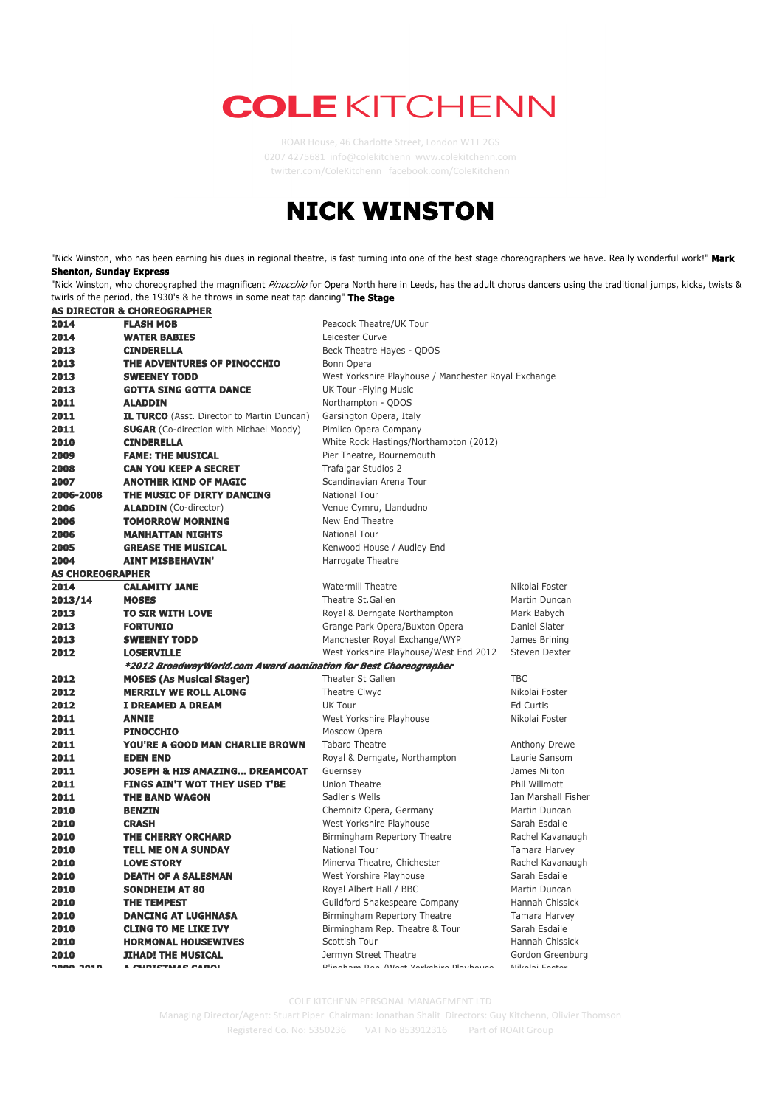## **COLE KITCHENN**

ROAR House, 46 Charlotte Street, London W1T 2GS 0207 4275681 info@colekitchenn www.colekitchenn.com twi2er.com/ColeKitchenn facebook.com/ColeKitchenn

## **NICK WINSTON**

"Nick Winston, who has been earning his dues in regional theatre, is fast turning into one of the best stage choreographers we have. Really wonderful work!" **Mark Shenton, Sunday Express**

"Nick Winston, who choreographed the magnificent *Pinocchio* for Opera North here in Leeds, has the adult chorus dancers using the traditional jumps, kicks, twists & twirls of the period, the 1930's & he throws in some neat tap dancing" **The Stage**

|                         | <b>AS DIRECTOR &amp; CHOREOGRAPHER</b>                          |                                                      |                     |
|-------------------------|-----------------------------------------------------------------|------------------------------------------------------|---------------------|
| 2014                    | <b>FLASH MOB</b>                                                | Peacock Theatre/UK Tour                              |                     |
| 2014                    | <b>WATER BABIES</b>                                             | Leicester Curve                                      |                     |
| 2013                    | <b>CINDERELLA</b>                                               | Beck Theatre Hayes - QDOS                            |                     |
| 2013                    | THE ADVENTURES OF PINOCCHIO                                     | Bonn Opera                                           |                     |
| 2013                    | <b>SWEENEY TODD</b>                                             | West Yorkshire Playhouse / Manchester Royal Exchange |                     |
| 2013                    | <b>GOTTA SING GOTTA DANCE</b>                                   | UK Tour - Flying Music                               |                     |
| 2011                    | <b>ALADDIN</b>                                                  | Northampton - QDOS                                   |                     |
| 2011                    | <b>IL TURCO</b> (Asst. Director to Martin Duncan)               | Garsington Opera, Italy                              |                     |
| 2011                    | <b>SUGAR</b> (Co-direction with Michael Moody)                  | Pimlico Opera Company                                |                     |
| 2010                    | <b>CINDERELLA</b>                                               | White Rock Hastings/Northampton (2012)               |                     |
| 2009                    | <b>FAME: THE MUSICAL</b>                                        | Pier Theatre, Bournemouth                            |                     |
| 2008                    | <b>CAN YOU KEEP A SECRET</b>                                    | Trafalgar Studios 2                                  |                     |
| 2007                    | <b>ANOTHER KIND OF MAGIC</b>                                    | Scandinavian Arena Tour                              |                     |
| 2006-2008               | THE MUSIC OF DIRTY DANCING                                      | National Tour                                        |                     |
| 2006                    | <b>ALADDIN</b> (Co-director)                                    | Venue Cymru, Llandudno                               |                     |
| 2006                    | <b>TOMORROW MORNING</b>                                         | New End Theatre                                      |                     |
| 2006                    | <b>MANHATTAN NIGHTS</b>                                         | National Tour                                        |                     |
| 2005                    | <b>GREASE THE MUSICAL</b>                                       | Kenwood House / Audley End                           |                     |
| 2004                    | <b>AINT MISBEHAVIN'</b>                                         | Harrogate Theatre                                    |                     |
| <b>AS CHOREOGRAPHER</b> |                                                                 |                                                      |                     |
| 2014                    | <b>CALAMITY JANE</b>                                            | <b>Watermill Theatre</b>                             | Nikolai Foster      |
| 2013/14                 | <b>MOSES</b>                                                    | Theatre St.Gallen                                    | Martin Duncan       |
| 2013                    | TO SIR WITH LOVE                                                | Royal & Derngate Northampton                         | Mark Babych         |
| 2013                    | <b>FORTUNIO</b>                                                 | Grange Park Opera/Buxton Opera                       | Daniel Slater       |
| 2013                    | <b>SWEENEY TODD</b>                                             | Manchester Royal Exchange/WYP                        | James Brining       |
| 2012                    | <b>LOSERVILLE</b>                                               | West Yorkshire Playhouse/West End 2012               | Steven Dexter       |
|                         | *2012 BroadwayWorld.com Award nomination for Best Choreographer |                                                      |                     |
| 2012                    | <b>MOSES (As Musical Stager)</b>                                | Theater St Gallen                                    | <b>TBC</b>          |
| 2012                    | <b>MERRILY WE ROLL ALONG</b>                                    | Theatre Clwyd                                        | Nikolai Foster      |
| 2012                    | I DREAMED A DREAM                                               | UK Tour                                              | <b>Ed Curtis</b>    |
| 2011                    | <b>ANNIE</b>                                                    | West Yorkshire Playhouse                             | Nikolai Foster      |
| 2011                    | <b>PINOCCHIO</b>                                                | Moscow Opera                                         |                     |
| 2011                    | YOU'RE A GOOD MAN CHARLIE BROWN                                 | <b>Tabard Theatre</b>                                | Anthony Drewe       |
| 2011                    | <b>EDEN END</b>                                                 | Royal & Derngate, Northampton                        | Laurie Sansom       |
| 2011                    | <b>JOSEPH &amp; HIS AMAZING DREAMCOAT</b>                       | Guernsey                                             | James Milton        |
| 2011                    | <b>FINGS AIN'T WOT THEY USED T'BE</b>                           | <b>Union Theatre</b>                                 | Phil Willmott       |
| 2011                    | <b>THE BAND WAGON</b>                                           | Sadler's Wells                                       | Ian Marshall Fisher |
| 2010                    | <b>BENZIN</b>                                                   | Chemnitz Opera, Germany                              | Martin Duncan       |
| 2010                    | <b>CRASH</b>                                                    | West Yorkshire Playhouse                             | Sarah Esdaile       |
| 2010                    | THE CHERRY ORCHARD                                              | Birmingham Repertory Theatre                         | Rachel Kavanaugh    |
| 2010                    | <b>TELL ME ON A SUNDAY</b>                                      | National Tour                                        | Tamara Harvey       |
| 2010                    | <b>LOVE STORY</b>                                               | Minerva Theatre, Chichester                          | Rachel Kavanaugh    |
| 2010                    | <b>DEATH OF A SALESMAN</b>                                      | West Yorshire Playhouse                              | Sarah Esdaile       |
| 2010                    | <b>SONDHEIM AT 80</b>                                           | Royal Albert Hall / BBC                              | Martin Duncan       |
| 2010                    | <b>THE TEMPEST</b>                                              | Guildford Shakespeare Company                        | Hannah Chissick     |
| 2010                    | <b>DANCING AT LUGHNASA</b>                                      | Birmingham Repertory Theatre                         | Tamara Harvey       |
| 2010                    | <b>CLING TO ME LIKE IVY</b>                                     | Birmingham Rep. Theatre & Tour                       | Sarah Esdaile       |
| 2010                    | <b>HORMONAL HOUSEWIVES</b>                                      | Scottish Tour                                        | Hannah Chissick     |
| 2010                    | <b>JIHAD! THE MUSICAL</b>                                       | Jermyn Street Theatre                                | Gordon Greenburg    |
| SAAA SALA               | A CURTETMAC CAROL                                               | Dlingham Dan Milant Vauliahiun Dlaubauna             | Milialai Factor     |

KITCHENN PERSONAL MANAGEMENT LTD

Managing Director/Agent: Stuart Piper Chairman: Jonathan Shalit *Directors: Guy Kitchenn, Olivier Thomson* Registered Co. No: 5350236 VAT No 853912316 Part of ROAR Group